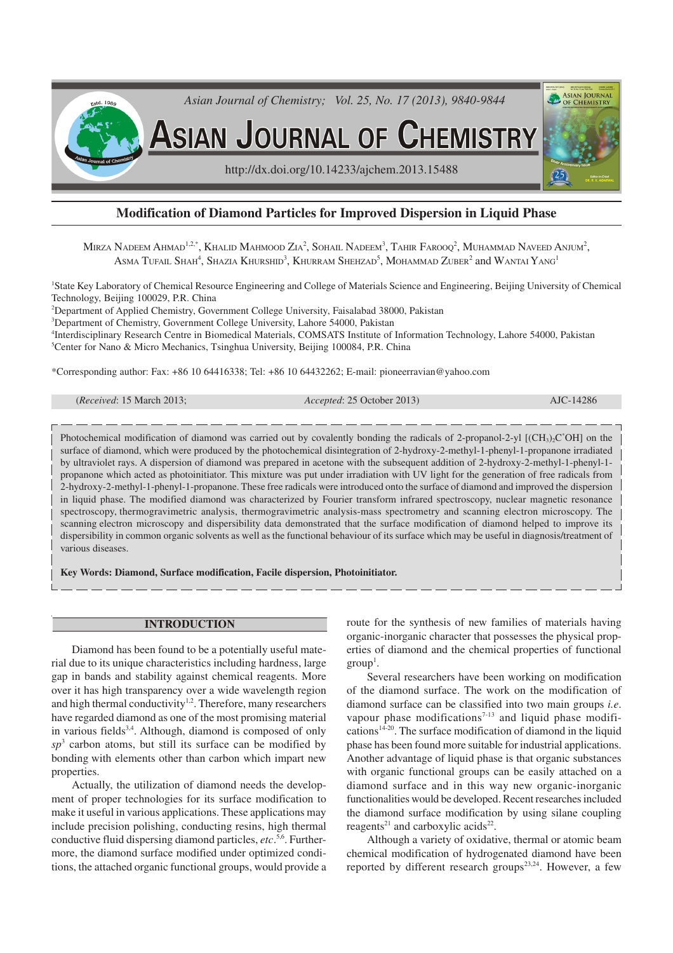

# **Modification of Diamond Particles for Improved Dispersion in Liquid Phase**

Mirza Nadeem Ahmad $^{1.2, *},$  Khalid Mahmood Zia $^2$ , Sohail Nadeem $^3$ , Tahir Farooq $^2$ , Muhammad Naveed Anjum $^2,$ Asma Tufail Shah<sup>4</sup>, Shazia Khurshid<sup>3</sup>, Khurram Shehzad<sup>5</sup>, Mohammad Zuber<sup>2</sup> and Wantai Yang<sup>1</sup>

<sup>1</sup>State Key Laboratory of Chemical Resource Engineering and College of Materials Science and Engineering, Beijing University of Chemical Technology, Beijing 100029, P.R. China

<sup>2</sup>Department of Applied Chemistry, Government College University, Faisalabad 38000, Pakistan

<sup>3</sup>Department of Chemistry, Government College University, Lahore 54000, Pakistan

4 Interdisciplinary Research Centre in Biomedical Materials, COMSATS Institute of Information Technology, Lahore 54000, Pakistan <sup>5</sup>Center for Nano & Micro Mechanics, Tsinghua University, Beijing 100084, P.R. China

\*Corresponding author: Fax: +86 10 64416338; Tel: +86 10 64432262; E-mail: pioneerravian@yahoo.com

| <i>Received</i> : 15 March 2013; |  |  |  |
|----------------------------------|--|--|--|
|----------------------------------|--|--|--|

(*Received*: 15 March 2013; *Accepted*: 25 October 2013) AJC-14286

Photochemical modification of diamond was carried out by covalently bonding the radicals of 2-propanol-2-yl  $[(CH<sub>3</sub>)<sub>2</sub>C<sup>*</sup>OH]$  on the surface of diamond, which were produced by the photochemical disintegration of 2-hydroxy-2-methyl-1-phenyl-1-propanone irradiated by ultraviolet rays. A dispersion of diamond was prepared in acetone with the subsequent addition of 2-hydroxy-2-methyl-1-phenyl-1 propanone which acted as photoinitiator. This mixture was put under irradiation with UV light for the generation of free radicals from 2-hydroxy-2-methyl-1-phenyl-1-propanone. These free radicals were introduced onto the surface of diamond and improved the dispersion in liquid phase. The modified diamond was characterized by Fourier transform infrared spectroscopy, nuclear magnetic resonance spectroscopy, thermogravimetric analysis, thermogravimetric analysis-mass spectrometry and scanning electron microscopy. The scanning electron microscopy and dispersibility data demonstrated that the surface modification of diamond helped to improve its dispersibility in common organic solvents as well as the functional behaviour of its surface which may be useful in diagnosis/treatment of various diseases.

**Key Words: Diamond, Surface modification, Facile dispersion, Photoinitiator.**

#### **INTRODUCTION**

Diamond has been found to be a potentially useful material due to its unique characteristics including hardness, large gap in bands and stability against chemical reagents. More over it has high transparency over a wide wavelength region and high thermal conductivity<sup>1,2</sup>. Therefore, many researchers have regarded diamond as one of the most promising material in various fields<sup>3,4</sup>. Although, diamond is composed of only  $sp<sup>3</sup>$  carbon atoms, but still its surface can be modified by bonding with elements other than carbon which impart new properties.

Actually, the utilization of diamond needs the development of proper technologies for its surface modification to make it useful in various applications. These applications may include precision polishing, conducting resins, high thermal conductive fluid dispersing diamond particles, *etc*. 5,6. Furthermore, the diamond surface modified under optimized conditions, the attached organic functional groups, would provide a route for the synthesis of new families of materials having organic-inorganic character that possesses the physical properties of diamond and the chemical properties of functional  $group<sup>1</sup>$ .

Several researchers have been working on modification of the diamond surface. The work on the modification of diamond surface can be classified into two main groups *i.e*. vapour phase modifications<sup> $7-13$ </sup> and liquid phase modifications<sup>14-20</sup>. The surface modification of diamond in the liquid phase has been found more suitable for industrial applications. Another advantage of liquid phase is that organic substances with organic functional groups can be easily attached on a diamond surface and in this way new organic-inorganic functionalities would be developed. Recent researches included the diamond surface modification by using silane coupling reagents<sup>21</sup> and carboxylic acids<sup>22</sup>.

Although a variety of oxidative, thermal or atomic beam chemical modification of hydrogenated diamond have been reported by different research groups<sup>23,24</sup>. However, a few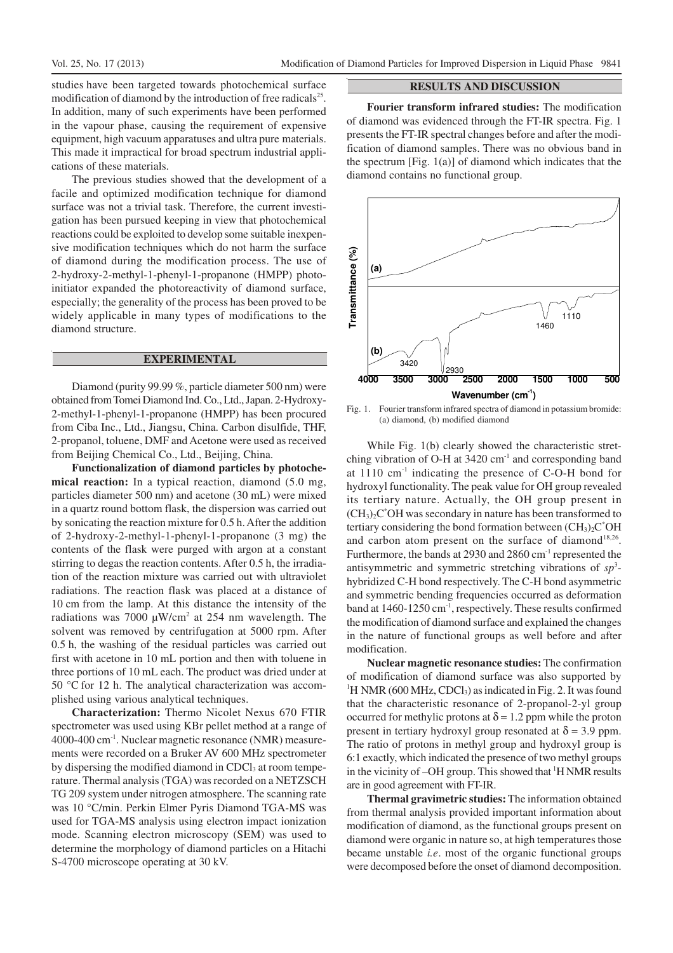studies have been targeted towards photochemical surface modification of diamond by the introduction of free radicals<sup>25</sup>. In addition, many of such experiments have been performed in the vapour phase, causing the requirement of expensive equipment, high vacuum apparatuses and ultra pure materials. This made it impractical for broad spectrum industrial applications of these materials.

The previous studies showed that the development of a facile and optimized modification technique for diamond surface was not a trivial task. Therefore, the current investigation has been pursued keeping in view that photochemical reactions could be exploited to develop some suitable inexpensive modification techniques which do not harm the surface of diamond during the modification process. The use of 2-hydroxy-2-methyl-1-phenyl-1-propanone (HMPP) photoinitiator expanded the photoreactivity of diamond surface, especially; the generality of the process has been proved to be widely applicable in many types of modifications to the diamond structure.

## **EXPERIMENTAL**

Diamond (purity 99.99 %, particle diameter 500 nm) were obtained from Tomei Diamond Ind. Co., Ltd., Japan. 2-Hydroxy-2-methyl-1-phenyl-1-propanone (HMPP) has been procured from Ciba Inc., Ltd., Jiangsu, China. Carbon disulfide, THF, 2-propanol, toluene, DMF and Acetone were used as received from Beijing Chemical Co., Ltd., Beijing, China.

**Functionalization of diamond particles by photochemical reaction:** In a typical reaction, diamond (5.0 mg, particles diameter 500 nm) and acetone (30 mL) were mixed in a quartz round bottom flask, the dispersion was carried out by sonicating the reaction mixture for 0.5 h. After the addition of 2-hydroxy-2-methyl-1-phenyl-1-propanone (3 mg) the contents of the flask were purged with argon at a constant stirring to degas the reaction contents. After 0.5 h, the irradiation of the reaction mixture was carried out with ultraviolet radiations. The reaction flask was placed at a distance of 10 cm from the lamp. At this distance the intensity of the radiations was 7000  $\mu$ W/cm<sup>2</sup> at 254 nm wavelength. The solvent was removed by centrifugation at 5000 rpm. After 0.5 h, the washing of the residual particles was carried out first with acetone in 10 mL portion and then with toluene in three portions of 10 mL each. The product was dried under at 50 °C for 12 h. The analytical characterization was accomplished using various analytical techniques.

**Characterization:** Thermo Nicolet Nexus 670 FTIR spectrometer was used using KBr pellet method at a range of 4000-400 cm-1. Nuclear magnetic resonance (NMR) measurements were recorded on a Bruker AV 600 MHz spectrometer by dispersing the modified diamond in CDCl<sub>3</sub> at room temperature. Thermal analysis (TGA) was recorded on a NETZSCH TG 209 system under nitrogen atmosphere. The scanning rate was 10 °C/min. Perkin Elmer Pyris Diamond TGA-MS was used for TGA-MS analysis using electron impact ionization mode. Scanning electron microscopy (SEM) was used to determine the morphology of diamond particles on a Hitachi S-4700 microscope operating at 30 kV.

### **RESULTS AND DISCUSSION**

**Fourier transform infrared studies:** The modification of diamond was evidenced through the FT-IR spectra. Fig. 1 presents the FT-IR spectral changes before and after the modification of diamond samples. There was no obvious band in the spectrum [Fig. 1(a)] of diamond which indicates that the diamond contains no functional group.



Fig. 1. Fourier transform infrared spectra of diamond in potassium bromide: (a) diamond, (b) modified diamond

While Fig. 1(b) clearly showed the characteristic stretching vibration of O-H at  $3420 \text{ cm}^{-1}$  and corresponding band at 1110 cm-1 indicating the presence of C-O-H bond for hydroxyl functionality. The peak value for OH group revealed its tertiary nature. Actually, the OH group present in  $(CH<sub>3</sub>)<sub>2</sub>C<sup>*</sup>OH$  was secondary in nature has been transformed to tertiary considering the bond formation between  $(CH_3)_2C^*OH$ and carbon atom present on the surface of diamond<sup>18,26</sup>. Furthermore, the bands at 2930 and 2860 cm-1 represented the antisymmetric and symmetric stretching vibrations of *sp*<sup>3</sup> hybridized C-H bond respectively. The C-H bond asymmetric and symmetric bending frequencies occurred as deformation band at 1460-1250 cm<sup>-1</sup>, respectively. These results confirmed the modification of diamond surface and explained the changes in the nature of functional groups as well before and after modification.

**Nuclear magnetic resonance studies:** The confirmation of modification of diamond surface was also supported by <sup>1</sup>H NMR (600 MHz, CDCl<sub>3</sub>) as indicated in Fig. 2. It was found that the characteristic resonance of 2-propanol-2-yl group occurred for methylic protons at  $\delta = 1.2$  ppm while the proton present in tertiary hydroxyl group resonated at  $\delta$  = 3.9 ppm. The ratio of protons in methyl group and hydroxyl group is 6:1 exactly, which indicated the presence of two methyl groups in the vicinity of  $-OH$  group. This showed that  $H NMR$  results are in good agreement with FT-IR.

**Thermal gravimetric studies:** The information obtained from thermal analysis provided important information about modification of diamond, as the functional groups present on diamond were organic in nature so, at high temperatures those became unstable *i.e*. most of the organic functional groups were decomposed before the onset of diamond decomposition.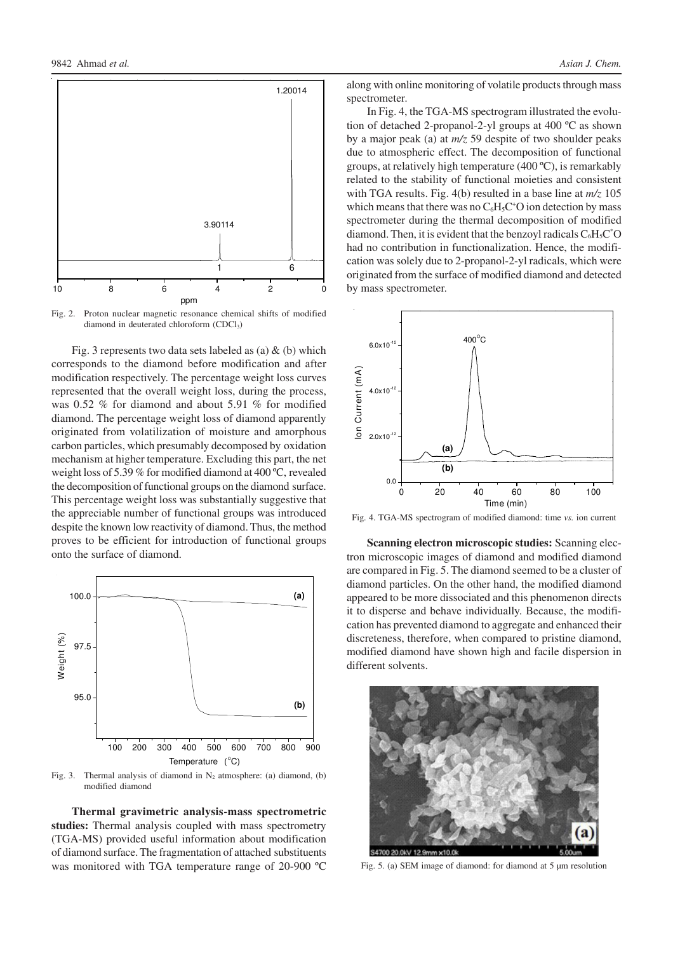

Fig. 2. Proton nuclear magnetic resonance chemical shifts of modified diamond in deuterated chloroform (CDCl<sub>3</sub>)

Fig. 3 represents two data sets labeled as (a)  $\&$  (b) which corresponds to the diamond before modification and after modification respectively. The percentage weight loss curves represented that the overall weight loss, during the process, was 0.52 % for diamond and about 5.91 % for modified diamond. The percentage weight loss of diamond apparently originated from volatilization of moisture and amorphous carbon particles, which presumably decomposed by oxidation mechanism at higher temperature. Excluding this part, the net weight loss of 5.39 % for modified diamond at 400 ºC, revealed the decomposition of functional groups on the diamond surface. This percentage weight loss was substantially suggestive that the appreciable number of functional groups was introduced despite the known low reactivity of diamond. Thus, the method proves to be efficient for introduction of functional groups onto the surface of diamond.



Fig. 3. Thermal analysis of diamond in N<sub>2</sub> atmosphere: (a) diamond, (b) modified diamond

**Thermal gravimetric analysis-mass spectrometric studies:** Thermal analysis coupled with mass spectrometry (TGA-MS) provided useful information about modification of diamond surface. The fragmentation of attached substituents was monitored with TGA temperature range of 20-900 ºC

along with online monitoring of volatile products through mass spectrometer.

In Fig. 4, the TGA-MS spectrogram illustrated the evolution of detached 2-propanol-2-yl groups at 400 ºC as shown by a major peak (a) at *m/z* 59 despite of two shoulder peaks due to atmospheric effect. The decomposition of functional groups, at relatively high temperature (400 ºC), is remarkably related to the stability of functional moieties and consistent with TGA results. Fig. 4(b) resulted in a base line at *m/z* 105 which means that there was no  $C_6H_5C^*O$  ion detection by mass spectrometer during the thermal decomposition of modified diamond. Then, it is evident that the benzoyl radicals  $C_6H_5C^*O$ had no contribution in functionalization. Hence, the modification was solely due to 2-propanol-2-yl radicals, which were originated from the surface of modified diamond and detected by mass spectrometer.



Fig. 4. TGA-MS spectrogram of modified diamond: time *vs.* ion current

**Scanning electron microscopic studies:** Scanning electron microscopic images of diamond and modified diamond are compared in Fig. 5. The diamond seemed to be a cluster of diamond particles. On the other hand, the modified diamond appeared to be more dissociated and this phenomenon directs it to disperse and behave individually. Because, the modification has prevented diamond to aggregate and enhanced their discreteness, therefore, when compared to pristine diamond, modified diamond have shown high and facile dispersion in different solvents.



Fig. 5. (a) SEM image of diamond: for diamond at 5 µm resolution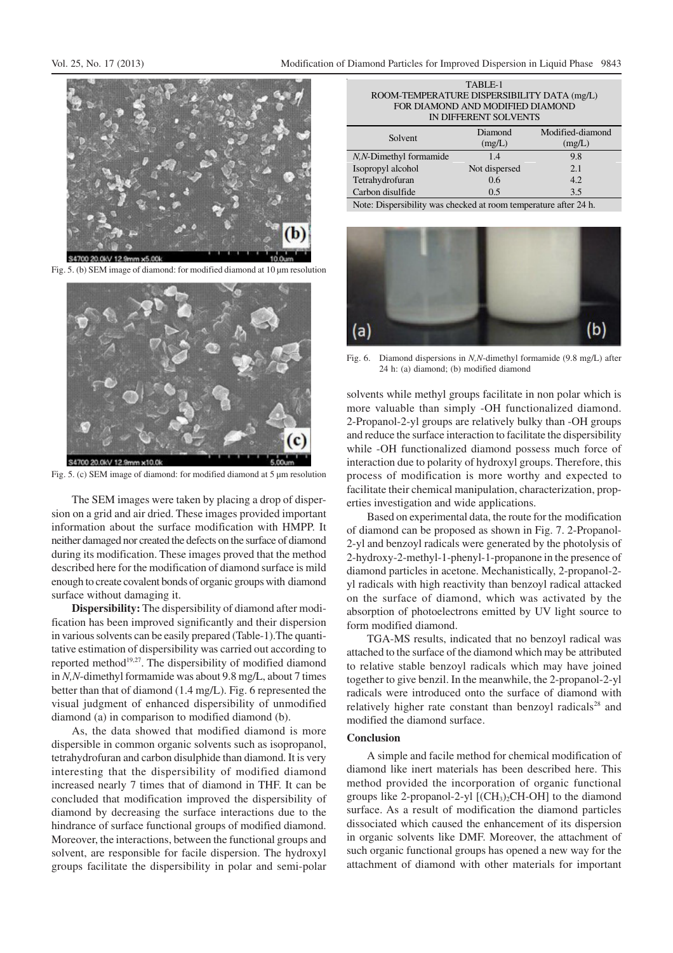

Fig. 5. (b) SEM image of diamond: for modified diamond at 10 um resolution



Fig. 5. (c) SEM image of diamond: for modified diamond at 5 µm resolution

The SEM images were taken by placing a drop of dispersion on a grid and air dried. These images provided important information about the surface modification with HMPP. It neither damaged nor created the defects on the surface of diamond during its modification. These images proved that the method described here for the modification of diamond surface is mild enough to create covalent bonds of organic groups with diamond surface without damaging it.

**Dispersibility:** The dispersibility of diamond after modification has been improved significantly and their dispersion in various solvents can be easily prepared (Table-1).The quantitative estimation of dispersibility was carried out according to reported method<sup>19,27</sup>. The dispersibility of modified diamond in *N,N*-dimethyl formamide was about 9.8 mg/L, about 7 times better than that of diamond (1.4 mg/L). Fig. 6 represented the visual judgment of enhanced dispersibility of unmodified diamond (a) in comparison to modified diamond (b).

As, the data showed that modified diamond is more dispersible in common organic solvents such as isopropanol, tetrahydrofuran and carbon disulphide than diamond. It is very interesting that the dispersibility of modified diamond increased nearly 7 times that of diamond in THF. It can be concluded that modification improved the dispersibility of diamond by decreasing the surface interactions due to the hindrance of surface functional groups of modified diamond. Moreover, the interactions, between the functional groups and solvent, are responsible for facile dispersion. The hydroxyl groups facilitate the dispersibility in polar and semi-polar

TABLE-1 ROOM-TEMPERATURE DISPERSIBILITY DATA (mg/L) FOR DIAMOND AND MODIFIED DIAMOND IN DIFFERENT SOLVENTS

| Solvent                 | Diamond<br>(mg/L) | Modified-diamond<br>(mg/L) |
|-------------------------|-------------------|----------------------------|
| N, N-Dimethyl formamide | 1.4               | 9.8                        |
| Isopropyl alcohol       | Not dispersed     | 2.1                        |
| Tetrahydrofuran         | 0.6               | 4.2                        |
| Carbon disulfide        | 0.5               | 3.5                        |

Note: Dispersibility was checked at room temperature after 24 h.



Fig. 6. Diamond dispersions in *N,N*-dimethyl formamide (9.8 mg/L) after 24 h: (a) diamond; (b) modified diamond

solvents while methyl groups facilitate in non polar which is more valuable than simply -OH functionalized diamond. 2-Propanol-2-yl groups are relatively bulky than -OH groups and reduce the surface interaction to facilitate the dispersibility while -OH functionalized diamond possess much force of interaction due to polarity of hydroxyl groups. Therefore, this process of modification is more worthy and expected to facilitate their chemical manipulation, characterization, properties investigation and wide applications.

Based on experimental data, the route for the modification of diamond can be proposed as shown in Fig. 7. 2-Propanol-2-yl and benzoyl radicals were generated by the photolysis of 2-hydroxy-2-methyl-1-phenyl-1-propanone in the presence of diamond particles in acetone. Mechanistically, 2-propanol-2 yl radicals with high reactivity than benzoyl radical attacked on the surface of diamond, which was activated by the absorption of photoelectrons emitted by UV light source to form modified diamond.

TGA-MS results, indicated that no benzoyl radical was attached to the surface of the diamond which may be attributed to relative stable benzoyl radicals which may have joined together to give benzil. In the meanwhile, the 2-propanol-2-yl radicals were introduced onto the surface of diamond with relatively higher rate constant than benzoyl radicals<sup>28</sup> and modified the diamond surface.

### **Conclusion**

A simple and facile method for chemical modification of diamond like inert materials has been described here. This method provided the incorporation of organic functional groups like 2-propanol-2-yl  $[(CH<sub>3</sub>)<sub>2</sub>CH-OH]$  to the diamond surface. As a result of modification the diamond particles dissociated which caused the enhancement of its dispersion in organic solvents like DMF. Moreover, the attachment of such organic functional groups has opened a new way for the attachment of diamond with other materials for important